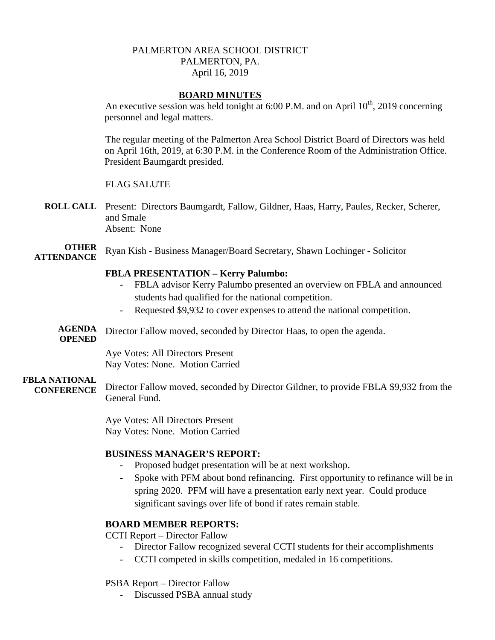# PALMERTON AREA SCHOOL DISTRICT PALMERTON, PA. April 16, 2019

#### **BOARD MINUTES**

An executive session was held tonight at 6:00 P.M. and on April  $10^{th}$ , 2019 concerning personnel and legal matters.

The regular meeting of the Palmerton Area School District Board of Directors was held on April 16th, 2019, at 6:30 P.M. in the Conference Room of the Administration Office. President Baumgardt presided.

# FLAG SALUTE

- **ROLL CALL** Present: Directors Baumgardt, Fallow, Gildner, Haas, Harry, Paules, Recker, Scherer, and Smale Absent: None
- **OTHER ATTENDANCE** Ryan Kish - Business Manager/Board Secretary, Shawn Lochinger - Solicitor

# **FBLA PRESENTATION – Kerry Palumbo:**

- FBLA advisor Kerry Palumbo presented an overview on FBLA and announced students had qualified for the national competition.
- Requested \$9,932 to cover expenses to attend the national competition.
- **AGENDA**  Director Fallow moved, seconded by Director Haas, to open the agenda.

# **OPENED**

Aye Votes: All Directors Present Nay Votes: None. Motion Carried

#### **FBLA NATIONAL**

**CONFERENCE** Director Fallow moved, seconded by Director Gildner, to provide FBLA \$9,932 from the General Fund.

> Aye Votes: All Directors Present Nay Votes: None. Motion Carried

# **BUSINESS MANAGER'S REPORT:**

- Proposed budget presentation will be at next workshop.
- Spoke with PFM about bond refinancing. First opportunity to refinance will be in spring 2020. PFM will have a presentation early next year. Could produce significant savings over life of bond if rates remain stable.

# **BOARD MEMBER REPORTS:**

CCTI Report – Director Fallow

- Director Fallow recognized several CCTI students for their accomplishments
- CCTI competed in skills competition, medaled in 16 competitions.

#### PSBA Report – Director Fallow

- Discussed PSBA annual study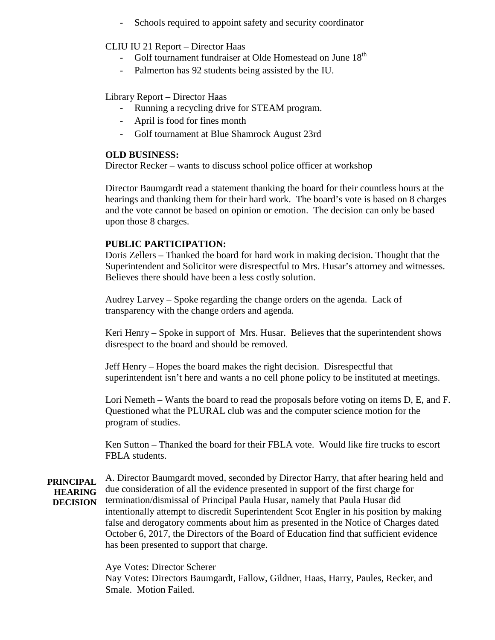Schools required to appoint safety and security coordinator

# CLIU IU 21 Report – Director Haas

- Golf tournament fundraiser at Olde Homestead on June 18<sup>th</sup>
- Palmerton has 92 students being assisted by the IU.

#### Library Report – Director Haas

- Running a recycling drive for STEAM program.
- April is food for fines month
- Golf tournament at Blue Shamrock August 23rd

#### **OLD BUSINESS:**

Director Recker – wants to discuss school police officer at workshop

Director Baumgardt read a statement thanking the board for their countless hours at the hearings and thanking them for their hard work. The board's vote is based on 8 charges and the vote cannot be based on opinion or emotion. The decision can only be based upon those 8 charges.

# **PUBLIC PARTICIPATION:**

Doris Zellers – Thanked the board for hard work in making decision. Thought that the Superintendent and Solicitor were disrespectful to Mrs. Husar's attorney and witnesses. Believes there should have been a less costly solution.

Audrey Larvey – Spoke regarding the change orders on the agenda. Lack of transparency with the change orders and agenda.

Keri Henry – Spoke in support of Mrs. Husar. Believes that the superintendent shows disrespect to the board and should be removed.

Jeff Henry – Hopes the board makes the right decision. Disrespectful that superintendent isn't here and wants a no cell phone policy to be instituted at meetings.

Lori Nemeth – Wants the board to read the proposals before voting on items D, E, and F. Questioned what the PLURAL club was and the computer science motion for the program of studies.

Ken Sutton – Thanked the board for their FBLA vote. Would like fire trucks to escort FBLA students.

**PRINCIPAL HEARING DECISION** A. Director Baumgardt moved, seconded by Director Harry, that after hearing held and due consideration of all the evidence presented in support of the first charge for termination/dismissal of Principal Paula Husar, namely that Paula Husar did intentionally attempt to discredit Superintendent Scot Engler in his position by making false and derogatory comments about him as presented in the Notice of Charges dated October 6, 2017, the Directors of the Board of Education find that sufficient evidence has been presented to support that charge.

Aye Votes: Director Scherer

Nay Votes: Directors Baumgardt, Fallow, Gildner, Haas, Harry, Paules, Recker, and Smale. Motion Failed.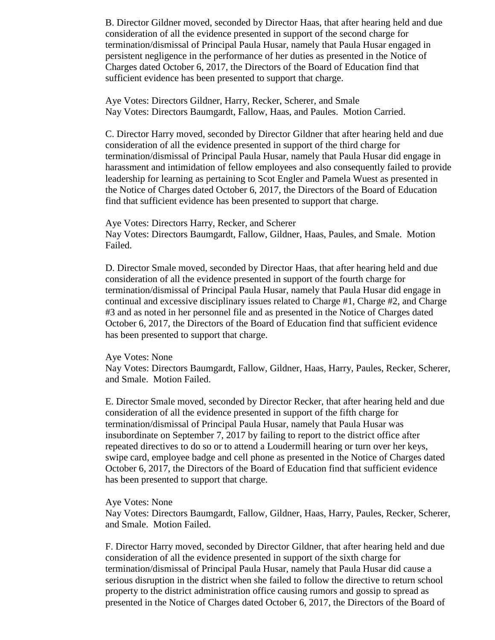B. Director Gildner moved, seconded by Director Haas, that after hearing held and due consideration of all the evidence presented in support of the second charge for termination/dismissal of Principal Paula Husar, namely that Paula Husar engaged in persistent negligence in the performance of her duties as presented in the Notice of Charges dated October 6, 2017, the Directors of the Board of Education find that sufficient evidence has been presented to support that charge.

Aye Votes: Directors Gildner, Harry, Recker, Scherer, and Smale Nay Votes: Directors Baumgardt, Fallow, Haas, and Paules. Motion Carried.

C. Director Harry moved, seconded by Director Gildner that after hearing held and due consideration of all the evidence presented in support of the third charge for termination/dismissal of Principal Paula Husar, namely that Paula Husar did engage in harassment and intimidation of fellow employees and also consequently failed to provide leadership for learning as pertaining to Scot Engler and Pamela Wuest as presented in the Notice of Charges dated October 6, 2017, the Directors of the Board of Education find that sufficient evidence has been presented to support that charge.

Aye Votes: Directors Harry, Recker, and Scherer Nay Votes: Directors Baumgardt, Fallow, Gildner, Haas, Paules, and Smale. Motion Failed.

D. Director Smale moved, seconded by Director Haas, that after hearing held and due consideration of all the evidence presented in support of the fourth charge for termination/dismissal of Principal Paula Husar, namely that Paula Husar did engage in continual and excessive disciplinary issues related to Charge #1, Charge #2, and Charge #3 and as noted in her personnel file and as presented in the Notice of Charges dated October 6, 2017, the Directors of the Board of Education find that sufficient evidence has been presented to support that charge.

#### Aye Votes: None

Nay Votes: Directors Baumgardt, Fallow, Gildner, Haas, Harry, Paules, Recker, Scherer, and Smale. Motion Failed.

E. Director Smale moved, seconded by Director Recker, that after hearing held and due consideration of all the evidence presented in support of the fifth charge for termination/dismissal of Principal Paula Husar, namely that Paula Husar was insubordinate on September 7, 2017 by failing to report to the district office after repeated directives to do so or to attend a Loudermill hearing or turn over her keys, swipe card, employee badge and cell phone as presented in the Notice of Charges dated October 6, 2017, the Directors of the Board of Education find that sufficient evidence has been presented to support that charge.

#### Aye Votes: None

Nay Votes: Directors Baumgardt, Fallow, Gildner, Haas, Harry, Paules, Recker, Scherer, and Smale. Motion Failed.

F. Director Harry moved, seconded by Director Gildner, that after hearing held and due consideration of all the evidence presented in support of the sixth charge for termination/dismissal of Principal Paula Husar, namely that Paula Husar did cause a serious disruption in the district when she failed to follow the directive to return school property to the district administration office causing rumors and gossip to spread as presented in the Notice of Charges dated October 6, 2017, the Directors of the Board of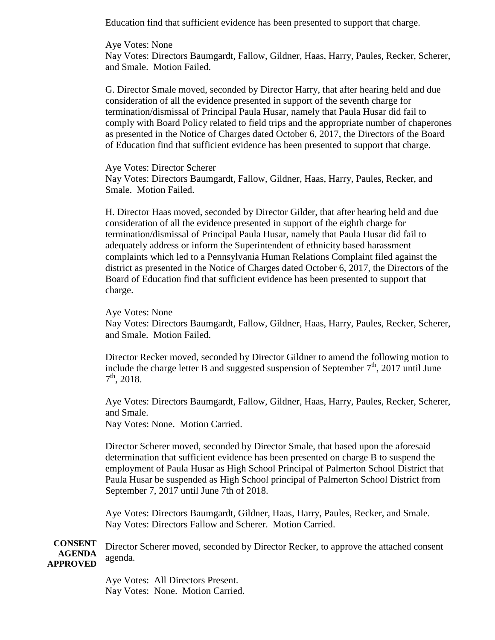Education find that sufficient evidence has been presented to support that charge.

#### Aye Votes: None

Nay Votes: Directors Baumgardt, Fallow, Gildner, Haas, Harry, Paules, Recker, Scherer, and Smale. Motion Failed.

G. Director Smale moved, seconded by Director Harry, that after hearing held and due consideration of all the evidence presented in support of the seventh charge for termination/dismissal of Principal Paula Husar, namely that Paula Husar did fail to comply with Board Policy related to field trips and the appropriate number of chaperones as presented in the Notice of Charges dated October 6, 2017, the Directors of the Board of Education find that sufficient evidence has been presented to support that charge.

#### Aye Votes: Director Scherer

Nay Votes: Directors Baumgardt, Fallow, Gildner, Haas, Harry, Paules, Recker, and Smale. Motion Failed.

H. Director Haas moved, seconded by Director Gilder, that after hearing held and due consideration of all the evidence presented in support of the eighth charge for termination/dismissal of Principal Paula Husar, namely that Paula Husar did fail to adequately address or inform the Superintendent of ethnicity based harassment complaints which led to a Pennsylvania Human Relations Complaint filed against the district as presented in the Notice of Charges dated October 6, 2017, the Directors of the Board of Education find that sufficient evidence has been presented to support that charge.

#### Aye Votes: None

Nay Votes: Directors Baumgardt, Fallow, Gildner, Haas, Harry, Paules, Recker, Scherer, and Smale. Motion Failed.

Director Recker moved, seconded by Director Gildner to amend the following motion to include the charge letter B and suggested suspension of September  $7<sup>th</sup>$ , 2017 until June  $7<sup>th</sup>$ , 2018.

Aye Votes: Directors Baumgardt, Fallow, Gildner, Haas, Harry, Paules, Recker, Scherer, and Smale.

Nay Votes: None. Motion Carried.

Director Scherer moved, seconded by Director Smale, that based upon the aforesaid determination that sufficient evidence has been presented on charge B to suspend the employment of Paula Husar as High School Principal of Palmerton School District that Paula Husar be suspended as High School principal of Palmerton School District from September 7, 2017 until June 7th of 2018.

Aye Votes: Directors Baumgardt, Gildner, Haas, Harry, Paules, Recker, and Smale. Nay Votes: Directors Fallow and Scherer. Motion Carried.

**CONSENT AGENDA APPROVED** Director Scherer moved, seconded by Director Recker, to approve the attached consent agenda.

> Aye Votes: All Directors Present. Nay Votes: None. Motion Carried.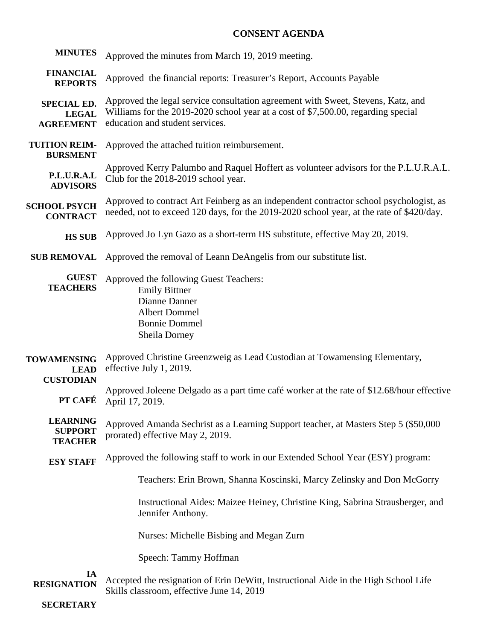# **CONSENT AGENDA**

| <b>MINUTES</b>                                         | Approved the minutes from March 19, 2019 meeting.                                                                                                                                                        |
|--------------------------------------------------------|----------------------------------------------------------------------------------------------------------------------------------------------------------------------------------------------------------|
| <b>FINANCIAL</b><br><b>REPORTS</b>                     | Approved the financial reports: Treasurer's Report, Accounts Payable                                                                                                                                     |
| <b>SPECIAL ED.</b><br><b>LEGAL</b><br><b>AGREEMENT</b> | Approved the legal service consultation agreement with Sweet, Stevens, Katz, and<br>Williams for the 2019-2020 school year at a cost of \$7,500.00, regarding special<br>education and student services. |
| <b>TUITION REIM-</b><br><b>BURSMENT</b>                | Approved the attached tuition reimbursement.                                                                                                                                                             |
| P.L.U.R.A.L<br><b>ADVISORS</b>                         | Approved Kerry Palumbo and Raquel Hoffert as volunteer advisors for the P.L.U.R.A.L.<br>Club for the 2018-2019 school year.                                                                              |
| <b>SCHOOL PSYCH</b><br><b>CONTRACT</b>                 | Approved to contract Art Feinberg as an independent contractor school psychologist, as<br>needed, not to exceed 120 days, for the 2019-2020 school year, at the rate of \$420/day.                       |
| <b>HS SUB</b>                                          | Approved Jo Lyn Gazo as a short-term HS substitute, effective May 20, 2019.                                                                                                                              |
| <b>SUB REMOVAL</b>                                     | Approved the removal of Leann DeAngelis from our substitute list.                                                                                                                                        |
| <b>GUEST</b><br><b>TEACHERS</b>                        | Approved the following Guest Teachers:<br><b>Emily Bittner</b><br>Dianne Danner<br><b>Albert Dommel</b><br><b>Bonnie Dommel</b><br>Sheila Dorney                                                         |
| <b>TOWAMENSING</b><br><b>LEAD</b><br><b>CUSTODIAN</b>  | Approved Christine Greenzweig as Lead Custodian at Towamensing Elementary,<br>effective July 1, 2019.                                                                                                    |
| PT CAFÉ                                                | Approved Joleene Delgado as a part time café worker at the rate of \$12.68/hour effective<br>April 17, 2019.                                                                                             |
| <b>LEARNING</b><br><b>SUPPORT</b><br><b>TEACHER</b>    | Approved Amanda Sechrist as a Learning Support teacher, at Masters Step 5 (\$50,000)<br>prorated) effective May 2, 2019.                                                                                 |
| <b>ESY STAFF</b>                                       | Approved the following staff to work in our Extended School Year (ESY) program:                                                                                                                          |
|                                                        | Teachers: Erin Brown, Shanna Koscinski, Marcy Zelinsky and Don McGorry                                                                                                                                   |
|                                                        | Instructional Aides: Maizee Heiney, Christine King, Sabrina Strausberger, and<br>Jennifer Anthony.                                                                                                       |
|                                                        | Nurses: Michelle Bisbing and Megan Zurn                                                                                                                                                                  |
|                                                        | Speech: Tammy Hoffman                                                                                                                                                                                    |
| IA<br><b>RESIGNATION</b>                               | Accepted the resignation of Erin DeWitt, Instructional Aide in the High School Life<br>Skills classroom, effective June 14, 2019                                                                         |

**SECRETARY**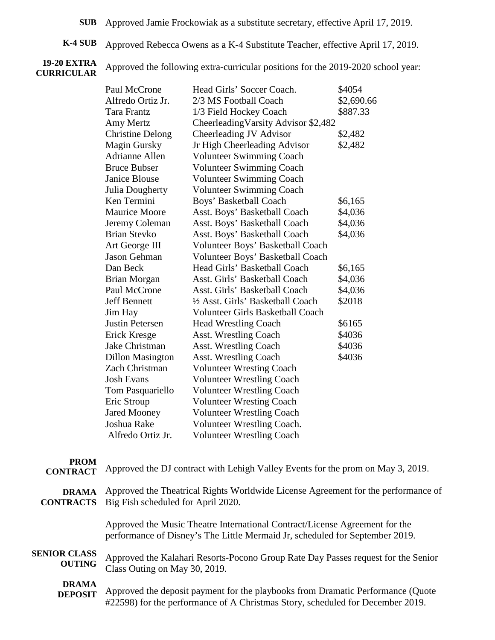**SUB** Approved Jamie Frockowiak as a substitute secretary, effective April 17, 2019.

**K-4 SUB** Approved Rebecca Owens as a K-4 Substitute Teacher, effective April 17, 2019.

#### **19-20 EXTRA CURRICULAR**

Approved the following extra-curricular positions for the 2019-2020 school year:

| Paul McCrone            | Head Girls' Soccer Coach.               | \$4054     |
|-------------------------|-----------------------------------------|------------|
| Alfredo Ortiz Jr.       | 2/3 MS Football Coach                   | \$2,690.66 |
| Tara Frantz             | 1/3 Field Hockey Coach                  | \$887.33   |
| Amy Mertz               | Cheerleading Varsity Advisor \$2,482    |            |
| <b>Christine Delong</b> | Cheerleading JV Advisor                 | \$2,482    |
| <b>Magin Gursky</b>     | Jr High Cheerleading Advisor            | \$2,482    |
| <b>Adrianne Allen</b>   | <b>Volunteer Swimming Coach</b>         |            |
| <b>Bruce Bubser</b>     | <b>Volunteer Swimming Coach</b>         |            |
| <b>Janice Blouse</b>    | <b>Volunteer Swimming Coach</b>         |            |
| Julia Dougherty         | <b>Volunteer Swimming Coach</b>         |            |
| Ken Termini             | Boys' Basketball Coach                  | \$6,165    |
| <b>Maurice Moore</b>    | Asst. Boys' Basketball Coach            | \$4,036    |
| Jeremy Coleman          | Asst. Boys' Basketball Coach            | \$4,036    |
| <b>Brian Stevko</b>     | Asst. Boys' Basketball Coach            | \$4,036    |
| Art George III          | Volunteer Boys' Basketball Coach        |            |
| <b>Jason Gehman</b>     | Volunteer Boys' Basketball Coach        |            |
| Dan Beck                | Head Girls' Basketball Coach            | \$6,165    |
| <b>Brian Morgan</b>     | Asst. Girls' Basketball Coach           | \$4,036    |
| Paul McCrone            | Asst. Girls' Basketball Coach           | \$4,036    |
| <b>Jeff Bennett</b>     | 1/2 Asst. Girls' Basketball Coach       | \$2018     |
| Jim Hay                 | <b>Volunteer Girls Basketball Coach</b> |            |
| Justin Petersen         | <b>Head Wrestling Coach</b>             | \$6165     |
| Erick Kresge            | <b>Asst. Wrestling Coach</b>            | \$4036     |
| Jake Christman          | <b>Asst. Wrestling Coach</b>            | \$4036     |
| <b>Dillon Masington</b> | <b>Asst. Wrestling Coach</b>            | \$4036     |
| Zach Christman          | <b>Volunteer Wresting Coach</b>         |            |
| <b>Josh Evans</b>       | <b>Volunteer Wrestling Coach</b>        |            |
| Tom Pasquariello        | <b>Volunteer Wrestling Coach</b>        |            |
| Eric Stroup             | <b>Volunteer Wresting Coach</b>         |            |
| <b>Jared Mooney</b>     | <b>Volunteer Wrestling Coach</b>        |            |
| Joshua Rake             | Volunteer Wrestling Coach.              |            |
| Alfredo Ortiz Jr.       | <b>Volunteer Wrestling Coach</b>        |            |

# **PROM**

**CONTRACT** Approved the DJ contract with Lehigh Valley Events for the prom on May 3, 2019.

| <b>DRAMA</b>        | Approved the Theatrical Rights Worldwide License Agreement for the performance of                                                                           |
|---------------------|-------------------------------------------------------------------------------------------------------------------------------------------------------------|
| <b>CONTRACTS</b>    | Big Fish scheduled for April 2020.                                                                                                                          |
|                     | Approved the Music Theatre International Contract/License Agreement for the<br>performance of Disney's The Little Mermaid Jr, scheduled for September 2019. |
| <b>SENIOR CLASS</b> | Approved the Kalahari Resorts-Pocono Group Rate Day Passes request for the Senior                                                                           |
| <b>OUTING</b>       | Class Outing on May 30, 2019.                                                                                                                               |
| <b>DRAMA</b>        | Approved the deposit payment for the playbooks from Dramatic Performance (Quote                                                                             |
| <b>DEPOSIT</b>      | #22598) for the performance of A Christmas Story, scheduled for December 2019.                                                                              |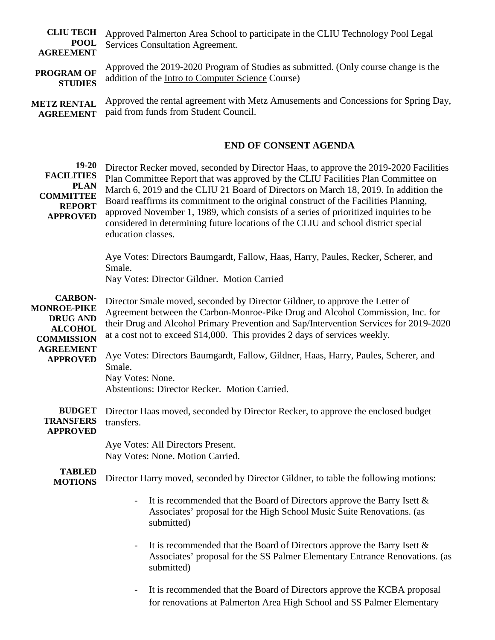**CLIU TECH POOL AGREEMENT** Approved Palmerton Area School to participate in the CLIU Technology Pool Legal Services Consultation Agreement.

**PROGRAM OF STUDIES** Approved the 2019-2020 Program of Studies as submitted. (Only course change is the addition of the Intro to Computer Science Course)

**METZ RENTAL AGREEMENT** Approved the rental agreement with Metz Amusements and Concessions for Spring Day, paid from funds from Student Council.

#### **END OF CONSENT AGENDA**

**19-20 FACILITIES PLAN COMMITTEE REPORT APPROVED CARBON-MONROE-PIKE DRUG AND ALCOHOL COMMISSION AGREEMENT APPROVED BUDGET TRANSFERS APPROVED TABLED MOTIONS**  Director Recker moved, seconded by Director Haas, to approve the 2019-2020 Facilities Plan Committee Report that was approved by the CLIU Facilities Plan Committee on March 6, 2019 and the CLIU 21 Board of Directors on March 18, 2019. In addition the Board reaffirms its commitment to the original construct of the Facilities Planning, approved November 1, 1989, which consists of a series of prioritized inquiries to be considered in determining future locations of the CLIU and school district special education classes. Aye Votes: Directors Baumgardt, Fallow, Haas, Harry, Paules, Recker, Scherer, and Smale. Nay Votes: Director Gildner. Motion Carried Director Smale moved, seconded by Director Gildner, to approve the Letter of Agreement between the Carbon-Monroe-Pike Drug and Alcohol Commission, Inc. for their Drug and Alcohol Primary Prevention and Sap/Intervention Services for 2019-2020 at a cost not to exceed \$14,000. This provides 2 days of services weekly. Aye Votes: Directors Baumgardt, Fallow, Gildner, Haas, Harry, Paules, Scherer, and Smale. Nay Votes: None. Abstentions: Director Recker. Motion Carried. Director Haas moved, seconded by Director Recker, to approve the enclosed budget transfers. Aye Votes: All Directors Present. Nay Votes: None. Motion Carried. Director Harry moved, seconded by Director Gildner, to table the following motions: - It is recommended that the Board of Directors approve the Barry Isett & Associates' proposal for the High School Music Suite Renovations. (as submitted) It is recommended that the Board of Directors approve the Barry Isett  $\&$ Associates' proposal for the SS Palmer Elementary Entrance Renovations. (as submitted)

- It is recommended that the Board of Directors approve the KCBA proposal for renovations at Palmerton Area High School and SS Palmer Elementary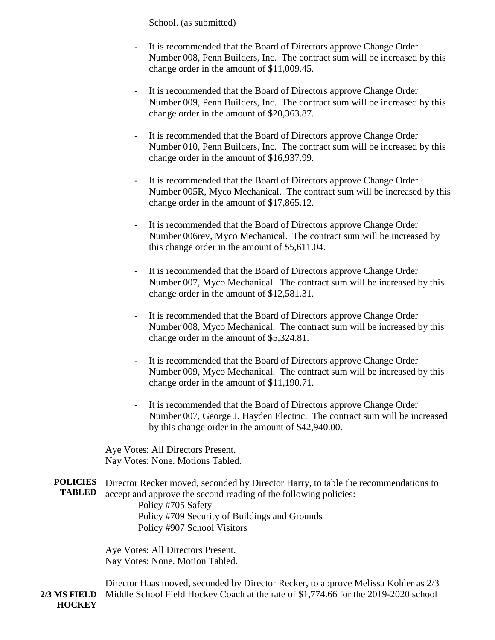School. (as submitted)

- It is recommended that the Board of Directors approve Change Order Number 008, Penn Builders, Inc. The contract sum will be increased by this change order in the amount of \$11,009.45.
- It is recommended that the Board of Directors approve Change Order Number 009, Penn Builders, Inc. The contract sum will be increased by this change order in the amount of \$20,363.87.
- It is recommended that the Board of Directors approve Change Order Number 010, Penn Builders, Inc. The contract sum will be increased by this change order in the amount of \$16,937.99.
- It is recommended that the Board of Directors approve Change Order Number 005R, Myco Mechanical. The contract sum will be increased by this change order in the amount of \$17,865.12.
- It is recommended that the Board of Directors approve Change Order Number 006rev, Myco Mechanical. The contract sum will be increased by this change order in the amount of \$5,611.04.
- It is recommended that the Board of Directors approve Change Order Number 007, Myco Mechanical. The contract sum will be increased by this change order in the amount of \$12,581.31.
- It is recommended that the Board of Directors approve Change Order Number 008, Myco Mechanical. The contract sum will be increased by this change order in the amount of \$5,324.81.
- It is recommended that the Board of Directors approve Change Order Number 009, Myco Mechanical. The contract sum will be increased by this change order in the amount of \$11,190.71.
- It is recommended that the Board of Directors approve Change Order Number 007, George J. Hayden Electric. The contract sum will be increased by this change order in the amount of \$42,940.00.

Aye Votes: All Directors Present. Nay Votes: None. Motions Tabled.

**POLICIES TABLED** Director Recker moved, seconded by Director Harry, to table the recommendations to accept and approve the second reading of the following policies: Policy #705 Safety Policy #709 Security of Buildings and Grounds Policy #907 School Visitors

> Aye Votes: All Directors Present. Nay Votes: None. Motion Tabled.

**2/3 MS FIELD HOCKEY**  Director Haas moved, seconded by Director Recker, to approve Melissa Kohler as 2/3 Middle School Field Hockey Coach at the rate of \$1,774.66 for the 2019-2020 school